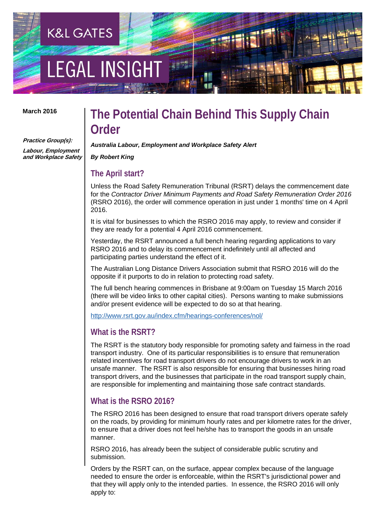# **LEGAL INSIGH**

**K&L GATES** 

#### **March 2016**

**Practice Group(s):**

**Labour, Employment and Workplace Safety** 

### **The Potential Chain Behind This Supply Chain Order**

*Australia Labour, Employment and Workplace Safety Alert*

#### *By Robert King*

### **The April start?**

Unless the Road Safety Remuneration Tribunal (RSRT) delays the commencement date for the *Contractor Driver Minimum Payments and Road Safety Remuneration Order 2016*  (RSRO 2016), the order will commence operation in just under 1 months' time on 4 April 2016.

It is vital for businesses to which the RSRO 2016 may apply, to review and consider if they are ready for a potential 4 April 2016 commencement.

Yesterday, the RSRT announced a full bench hearing regarding applications to vary RSRO 2016 and to delay its commencement indefinitely until all affected and participating parties understand the effect of it.

The Australian Long Distance Drivers Association submit that RSRO 2016 will do the opposite if it purports to do in relation to protecting road safety.

The full bench hearing commences in Brisbane at 9:00am on Tuesday 15 March 2016 (there will be video links to other capital cities). Persons wanting to make submissions and/or present evidence will be expected to do so at that hearing.

<http://www.rsrt.gov.au/index.cfm/hearings-conferences/nol/>

### **What is the RSRT?**

The RSRT is the statutory body responsible for promoting safety and fairness in the road transport industry. One of its particular responsibilities is to ensure that remuneration related incentives for road transport drivers do not encourage drivers to work in an unsafe manner. The RSRT is also responsible for ensuring that businesses hiring road transport drivers, and the businesses that participate in the road transport supply chain, are responsible for implementing and maintaining those safe contract standards.

### **What is the RSRO 2016?**

The RSRO 2016 has been designed to ensure that road transport drivers operate safely on the roads, by providing for minimum hourly rates and per kilometre rates for the driver, to ensure that a driver does not feel he/she has to transport the goods in an unsafe manner.

RSRO 2016, has already been the subject of considerable public scrutiny and submission.

Orders by the RSRT can, on the surface, appear complex because of the language needed to ensure the order is enforceable, within the RSRT's jurisdictional power and that they will apply only to the intended parties. In essence, the RSRO 2016 will only apply to: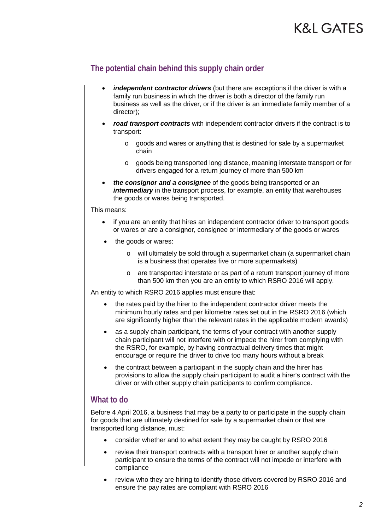### **K&L GATES**

### **The potential chain behind this supply chain order**

- *independent contractor drivers* (but there are exceptions if the driver is with a family run business in which the driver is both a director of the family run business as well as the driver, or if the driver is an immediate family member of a director);
- *road transport contracts* with independent contractor drivers if the contract is to transport:
	- o goods and wares or anything that is destined for sale by a supermarket chain
	- o goods being transported long distance, meaning interstate transport or for drivers engaged for a return journey of more than 500 km
- *the consignor and a consignee* of the goods being transported or an *intermediary* in the transport process, for example, an entity that warehouses the goods or wares being transported.

This means:

- if you are an entity that hires an independent contractor driver to transport goods or wares or are a consignor, consignee or intermediary of the goods or wares
- the goods or wares:
	- o will ultimately be sold through a supermarket chain (a supermarket chain is a business that operates five or more supermarkets)
	- o are transported interstate or as part of a return transport journey of more than 500 km then you are an entity to which RSRO 2016 will apply.

An entity to which RSRO 2016 applies must ensure that:

- the rates paid by the hirer to the independent contractor driver meets the minimum hourly rates and per kilometre rates set out in the RSRO 2016 (which are significantly higher than the relevant rates in the applicable modern awards)
- as a supply chain participant, the terms of your contract with another supply chain participant will not interfere with or impede the hirer from complying with the RSRO, for example, by having contractual delivery times that might encourage or require the driver to drive too many hours without a break
- the contract between a participant in the supply chain and the hirer has provisions to allow the supply chain participant to audit a hirer's contract with the driver or with other supply chain participants to confirm compliance.

### **What to do**

Before 4 April 2016, a business that may be a party to or participate in the supply chain for goods that are ultimately destined for sale by a supermarket chain or that are transported long distance, must:

- consider whether and to what extent they may be caught by RSRO 2016
- review their transport contracts with a transport hirer or another supply chain participant to ensure the terms of the contract will not impede or interfere with compliance
- review who they are hiring to identify those drivers covered by RSRO 2016 and ensure the pay rates are compliant with RSRO 2016